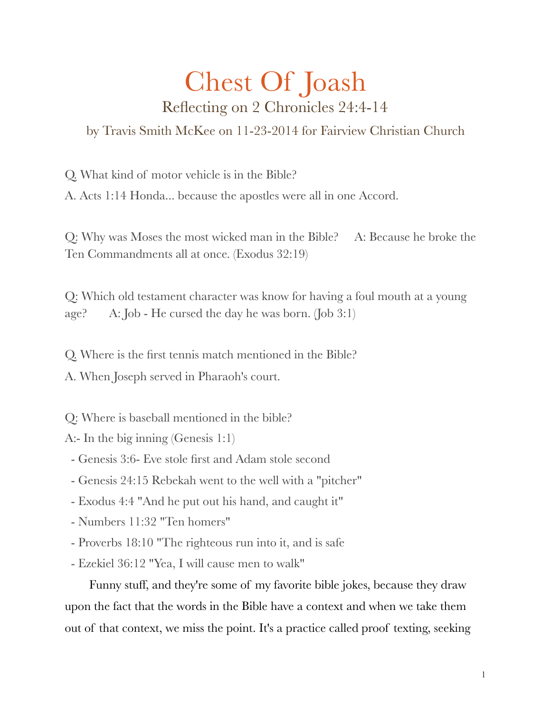## Chest Of Joash Reflecting on 2 Chronicles 24:4-14

by Travis Smith McKee on 11-23-2014 for Fairview Christian Church

Q. What kind of motor vehicle is in the Bible?

A. Acts 1:14 Honda... because the apostles were all in one Accord.

Q: Why was Moses the most wicked man in the Bible? A: Because he broke the Ten Commandments all at once. (Exodus 32:19)

Q: Which old testament character was know for having a foul mouth at a young age? A: Job - He cursed the day he was born. (Job 3:1)

Q. Where is the first tennis match mentioned in the Bible?

A. When Joseph served in Pharaoh's court.

Q: Where is baseball mentioned in the bible?

A:- In the big inning (Genesis 1:1)

- Genesis 3:6- Eve stole first and Adam stole second

- Genesis 24:15 Rebekah went to the well with a "pitcher"
- Exodus 4:4 "And he put out his hand, and caught it"
- Numbers 11:32 "Ten homers"
- Proverbs 18:10 "The righteous run into it, and is safe
- Ezekiel 36:12 "Yea, I will cause men to walk"

Funny stuff, and they're some of my favorite bible jokes, because they draw upon the fact that the words in the Bible have a context and when we take them out of that context, we miss the point. It's a practice called proof texting, seeking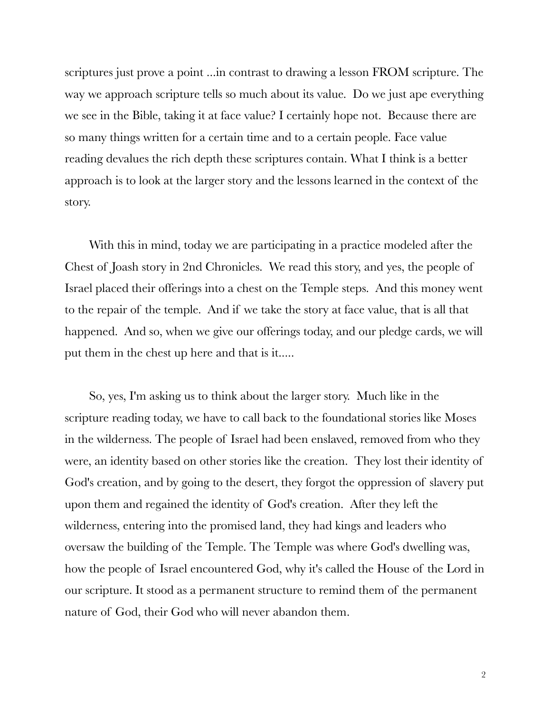scriptures just prove a point ...in contrast to drawing a lesson FROM scripture. The way we approach scripture tells so much about its value. Do we just ape everything we see in the Bible, taking it at face value? I certainly hope not. Because there are so many things written for a certain time and to a certain people. Face value reading devalues the rich depth these scriptures contain. What I think is a better approach is to look at the larger story and the lessons learned in the context of the story.

With this in mind, today we are participating in a practice modeled after the Chest of Joash story in 2nd Chronicles. We read this story, and yes, the people of Israel placed their offerings into a chest on the Temple steps. And this money went to the repair of the temple. And if we take the story at face value, that is all that happened. And so, when we give our offerings today, and our pledge cards, we will put them in the chest up here and that is it.....

So, yes, I'm asking us to think about the larger story. Much like in the scripture reading today, we have to call back to the foundational stories like Moses in the wilderness. The people of Israel had been enslaved, removed from who they were, an identity based on other stories like the creation. They lost their identity of God's creation, and by going to the desert, they forgot the oppression of slavery put upon them and regained the identity of God's creation. After they left the wilderness, entering into the promised land, they had kings and leaders who oversaw the building of the Temple. The Temple was where God's dwelling was, how the people of Israel encountered God, why it's called the House of the Lord in our scripture. It stood as a permanent structure to remind them of the permanent nature of God, their God who will never abandon them.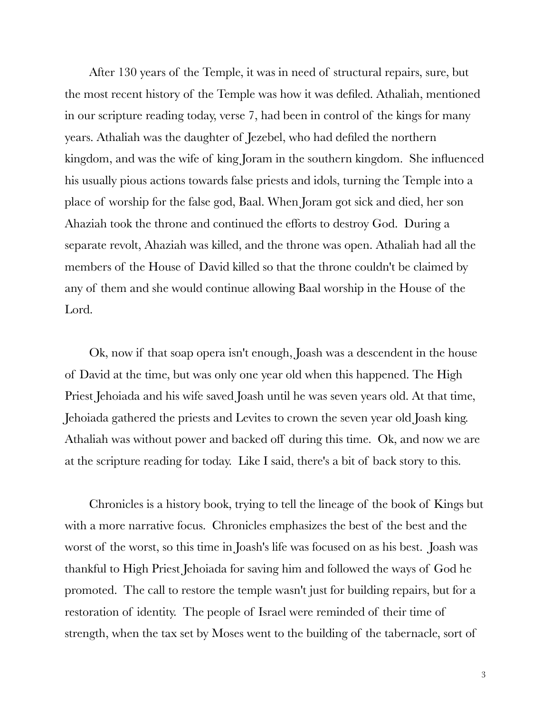After 130 years of the Temple, it was in need of structural repairs, sure, but the most recent history of the Temple was how it was defiled. Athaliah, mentioned in our scripture reading today, verse 7, had been in control of the kings for many years. Athaliah was the daughter of Jezebel, who had defiled the northern kingdom, and was the wife of king Joram in the southern kingdom. She influenced his usually pious actions towards false priests and idols, turning the Temple into a place of worship for the false god, Baal. When Joram got sick and died, her son Ahaziah took the throne and continued the efforts to destroy God. During a separate revolt, Ahaziah was killed, and the throne was open. Athaliah had all the members of the House of David killed so that the throne couldn't be claimed by any of them and she would continue allowing Baal worship in the House of the Lord.

Ok, now if that soap opera isn't enough, Joash was a descendent in the house of David at the time, but was only one year old when this happened. The High Priest Jehoiada and his wife saved Joash until he was seven years old. At that time, Jehoiada gathered the priests and Levites to crown the seven year old Joash king. Athaliah was without power and backed off during this time. Ok, and now we are at the scripture reading for today. Like I said, there's a bit of back story to this.

Chronicles is a history book, trying to tell the lineage of the book of Kings but with a more narrative focus. Chronicles emphasizes the best of the best and the worst of the worst, so this time in Joash's life was focused on as his best. Joash was thankful to High Priest Jehoiada for saving him and followed the ways of God he promoted. The call to restore the temple wasn't just for building repairs, but for a restoration of identity. The people of Israel were reminded of their time of strength, when the tax set by Moses went to the building of the tabernacle, sort of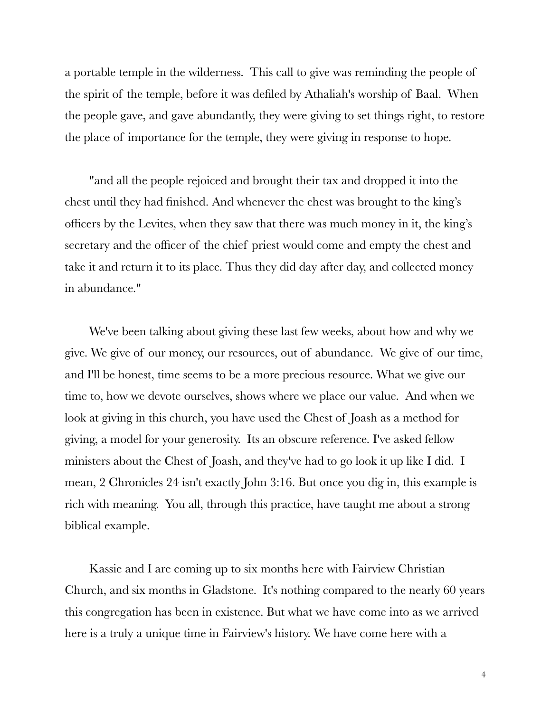a portable temple in the wilderness. This call to give was reminding the people of the spirit of the temple, before it was defiled by Athaliah's worship of Baal. When the people gave, and gave abundantly, they were giving to set things right, to restore the place of importance for the temple, they were giving in response to hope.

"and all the people rejoiced and brought their tax and dropped it into the chest until they had finished. And whenever the chest was brought to the king's officers by the Levites, when they saw that there was much money in it, the king's secretary and the officer of the chief priest would come and empty the chest and take it and return it to its place. Thus they did day after day, and collected money in abundance."

We've been talking about giving these last few weeks, about how and why we give. We give of our money, our resources, out of abundance. We give of our time, and I'll be honest, time seems to be a more precious resource. What we give our time to, how we devote ourselves, shows where we place our value. And when we look at giving in this church, you have used the Chest of Joash as a method for giving, a model for your generosity. Its an obscure reference. I've asked fellow ministers about the Chest of Joash, and they've had to go look it up like I did. I mean, 2 Chronicles 24 isn't exactly John 3:16. But once you dig in, this example is rich with meaning. You all, through this practice, have taught me about a strong biblical example.

Kassie and I are coming up to six months here with Fairview Christian Church, and six months in Gladstone. It's nothing compared to the nearly 60 years this congregation has been in existence. But what we have come into as we arrived here is a truly a unique time in Fairview's history. We have come here with a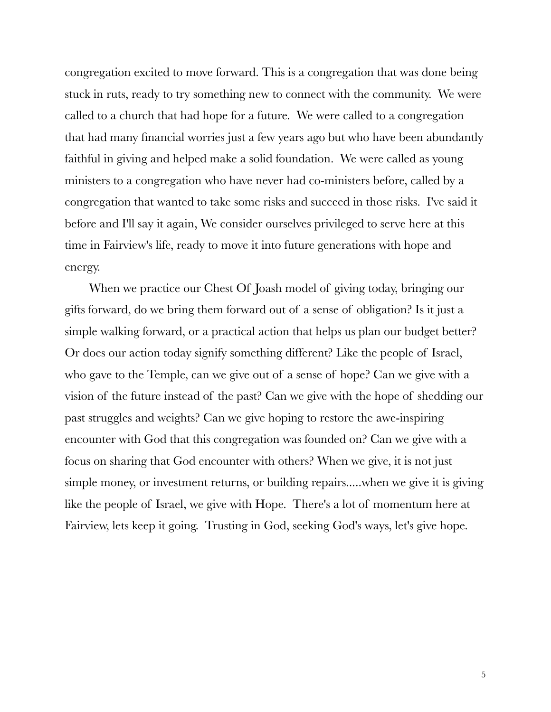congregation excited to move forward. This is a congregation that was done being stuck in ruts, ready to try something new to connect with the community. We were called to a church that had hope for a future. We were called to a congregation that had many financial worries just a few years ago but who have been abundantly faithful in giving and helped make a solid foundation. We were called as young ministers to a congregation who have never had co-ministers before, called by a congregation that wanted to take some risks and succeed in those risks. I've said it before and I'll say it again, We consider ourselves privileged to serve here at this time in Fairview's life, ready to move it into future generations with hope and energy.

When we practice our Chest Of Joash model of giving today, bringing our gifts forward, do we bring them forward out of a sense of obligation? Is it just a simple walking forward, or a practical action that helps us plan our budget better? Or does our action today signify something different? Like the people of Israel, who gave to the Temple, can we give out of a sense of hope? Can we give with a vision of the future instead of the past? Can we give with the hope of shedding our past struggles and weights? Can we give hoping to restore the awe-inspiring encounter with God that this congregation was founded on? Can we give with a focus on sharing that God encounter with others? When we give, it is not just simple money, or investment returns, or building repairs.....when we give it is giving like the people of Israel, we give with Hope. There's a lot of momentum here at Fairview, lets keep it going. Trusting in God, seeking God's ways, let's give hope.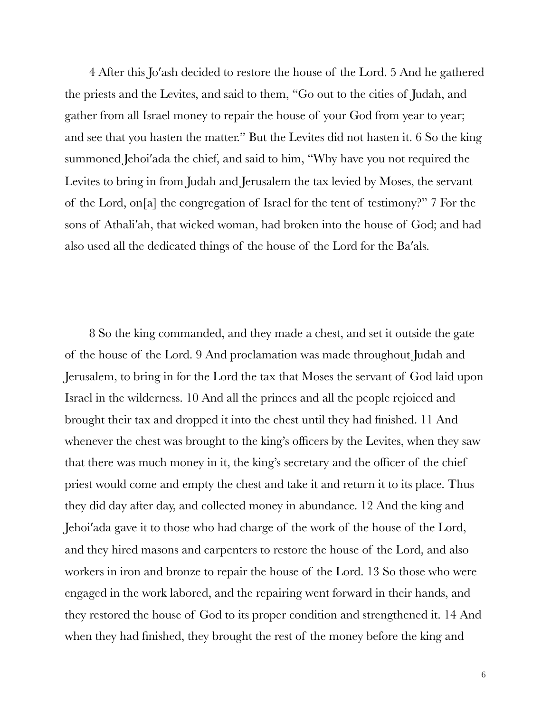4 After this Jo′ash decided to restore the house of the Lord. 5 And he gathered the priests and the Levites, and said to them, "Go out to the cities of Judah, and gather from all Israel money to repair the house of your God from year to year; and see that you hasten the matter." But the Levites did not hasten it. 6 So the king summoned Jehoi′ada the chief, and said to him, "Why have you not required the Levites to bring in from Judah and Jerusalem the tax levied by Moses, the servant of the Lord, on[a] the congregation of Israel for the tent of testimony?" 7 For the sons of Athali′ah, that wicked woman, had broken into the house of God; and had also used all the dedicated things of the house of the Lord for the Ba′als.

8 So the king commanded, and they made a chest, and set it outside the gate of the house of the Lord. 9 And proclamation was made throughout Judah and Jerusalem, to bring in for the Lord the tax that Moses the servant of God laid upon Israel in the wilderness. 10 And all the princes and all the people rejoiced and brought their tax and dropped it into the chest until they had finished. 11 And whenever the chest was brought to the king's officers by the Levites, when they saw that there was much money in it, the king's secretary and the officer of the chief priest would come and empty the chest and take it and return it to its place. Thus they did day after day, and collected money in abundance. 12 And the king and Jehoi′ada gave it to those who had charge of the work of the house of the Lord, and they hired masons and carpenters to restore the house of the Lord, and also workers in iron and bronze to repair the house of the Lord. 13 So those who were engaged in the work labored, and the repairing went forward in their hands, and they restored the house of God to its proper condition and strengthened it. 14 And when they had finished, they brought the rest of the money before the king and